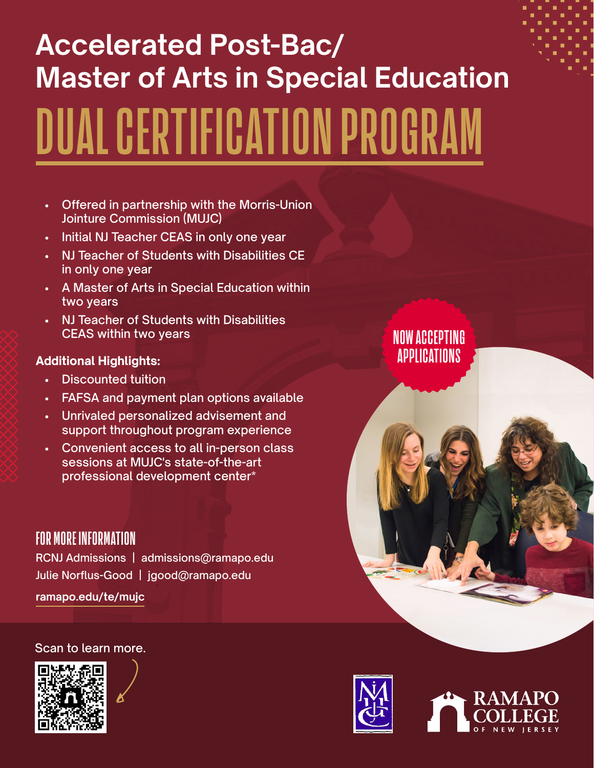# **Accelerated Post-Bac/ Master of Arts in Special Education DUAL CERTIFICATION PROGRAM**

- Offered in partnership with the Morris-Union Jointure Commission (MUJC)
- Initial NJ Teacher CEAS in only one year
- NJ Teacher of Students with Disabilities CE in only one year
- A Master of Arts in Special Education within two years
- NJ Teacher of Students with Disabilities CEAS within two years

#### **Additional Highlights:**

- Discounted tuition
- FAFSA and payment plan options available
- Unrivaled personalized advisement and support throughout program experience
- Convenient access to all in-person class sessions at MUJC's state-of-the-art professional development center\*

## **FOR MORE INFORMATION**

RCNJ Admissions | [admissions@ramapo.edu](mailto:admissions%40ramapo.edu?subject=) Julie Norflus-Good | [jgood@ramapo.edu](mailto:jgood%40ramapo.edu?subject=)

**[ramapo.edu/te/mujc](http://ramapo.edu/te/mujc)**

#### Scan to learn more.







**NOW ACCEPTING APPLICATIONS**